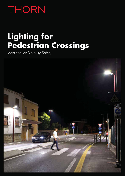# THORN

# **Lighting for Pedestrian Crossings**

Identification Visibility Safety

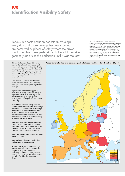# **IVS Identification Visibility Safety**

Serious accidents occur on pedestrian crossings every day and cause outrage because crossings are perceived as places of safety where the driver should be able to see pedestrians. But what if the driver genuinely didn't see the pedestrian until it was too late?

\*The EuroTest 'Pedestrian Crossing Assessment Programme' conducted by Europe's motoring and touring organisations' tested 270 crossings between July and September 2010 in 18 major European cities. The study emphasised the need for good lighting at night. Best practices in this field were where lighting systems at zebra crossings showed to be very efficiently focused on the crossing areas, making them clearly visible well in advance to approaching drivers. (http://www.eurotestmobility.eu/news/archive/2010-2/ pedestrian-crossings/)

It is true that drivers should drive in a manner that allows them to detect and react to all risks in good time. But despite improvement driven by EU directives and national regulations, and overwhelming public support, statistics show that more action is needed to reduce pedestrian crossing fatalities.

One in three pedestrian fatalities occur within the urban environment, peaking during the early evening and at just after midnight.

Eight thousand accidents happen on pedestrian crossing each year, mostly at night and over 40% of crossings score poorly on visibility at night. (based on 2010 figure, Crossings in the EU, sample size 270).

Furthermore, EU traffic Safety Statistics show that nighttime accidents on crossings account for 51% of the total, even though traffic flow is only one third of daytime levels. To make it worse, nighttime accidents are often more severe and over a third are reported to be due to difficulty in observation by the driver.

Night-time visibility is a significant focus by the Eurotest assessment programme, attracting a 35% weighting to their safety score and of course lighting and warning beacons play an important role in this.

It's the top priority in improving road safety for municipalities.

It's something authorities can afford to do and serves a valuable purpose.

At Thorn we deliver high performance lighting, optically optimised to give the best possible lighting conditions for pedestrian and driver at road crossing points,. You would call it a safe crossing, we call it IVS, Identification Visibility System.

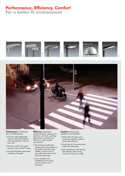# **Performance, Efficiency, Comfort**

**For a better lit environment**





**Performance:** Providing the best visual effectiveness

- improves vertical illuminance making pedestrians visible as they cross crossings. improves vertical illuminance<br>making pedestrians visible as<br>they cross<br>• Extreme cut-off for low glare<br>enhances clarity of the lit scene<br>• Low level flat beam gives good • Precision optic significantly
	- $\bullet$  Extreme cut-off for low glare enhances clarity of the lit scene
		- modelling of hazards

**Efficiency:** Conserving energy and effort, reducing  $CO<sub>2</sub>$ emissions and waste, providing lighting that is practical and efficient to install, operate and maintain.

- The luminaire significantly reduces power consumption as the double asymmetric optic enables crossings to be lit more efficiently with minimal obtrusive/waste light
- Easy installation and maintenance from proven products reduce cost of ownership

**Comfort:** giving people satisfaction and stimulation

- White light with high colour rendering properties creates a reassuring ambience
- Broad choice of luminaire styles unifies the streetscape
- Extra signalling via the flashing LED indicates safe crossing location and enhances safety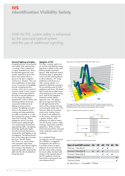# **IVS Identification Visibility Safety**

With the IVS, system safety is enhanced by the specialist optical system and the use of additional signaling

#### **General lighting principles**

Accepted practice concerning the road safety when approaching a crossing is that a pedestrian is clearly revealed to any driver by silhouette against the road surface, experience shows that the lit road surface allows a person to be seen in negative contrast as a 'shadow'. This is an over-simplification of what really occurs. In practice car headlights provide competing positive contrast, which can at a point of transition results in zero contrast, making it almost impossible for the driver to see the pedestrian. For this reason the relevant standard EN 13201-2:2003, and national guidance documents, recommend additional local lighting to ensure positive contrast. The lighting must alert drivers to the presence of the crossing and make pedestrians as visible as possible on or near the crossing area (zones at either side of the crossing). Where pedestrians wait to cross they should receive adequate light on a vertical plane towards the approaching traffic;, the lighting should be significantly higher than the horizontal illuminance produced by road lighting on the carriageway. The lighting should also strictly reduce glare towards the driver. The IVS solution from Thorn is to use luminaires with asymmetric light output, positioned a short distance before the crossing in the direction of approaching traffic, directing the light onto the side of pedestrians facing the driver.

#### **Adoption of IVS**

IVS offers 'crossing' options on six existing street lighting ranges. Signaling is added via the rapid flashing double asymmetric beacon. With enhanced vertical illuminance (Fig.1), good glare control and the warning beacon to attract attention, IVS brings pedestrians and drivers to a safer crossing solution. It is essential to blend the crossing to the surrounding zones for both pedestrian and driver. IVS directs light towards the accident prone areas leading up to the crossing point, both for the pedestrian pavement and the vehicle approach zone. IVS adopts a dual zone approach (See Fig. 2) with light directed at the centre of the crossing and area surrounding the safety zone. This improves safety by increasing visual acuity, making it easy for drivers to see pedestrians on the footway and kerb from a greater distance, while pedestrians are able to clearly view the footway surface, safety markings, obstructions and other pedestrians. All this is further enhanced using LED for improved colour rendering. superior color rendering.

For a standard 2-lane carriageway, two IVS luminaires are installed in a staggered arrangement; the optimum is to provide columns at equal distances of not more than 4m from the centre of the crossing. To ensure safety, standard road lanterns to the opposite side of the IVS installation should be beyond the crossing point and some distance from it.

Measured at 1.5m high with IVS 72L70, Eav=180lx, U=0.7



This diagram illustrates vertical illuminance for the IVS system as experienced by an approaching driver (blue signifies the near-side lane, green the far lane). It also shows the different levels for the crossing and the adjacent zones (A and B).

Figure 1 – Vertical illumination levels at 3 positions



Figure 2 – typical IVS layout and dual zones concept

| Type of road/LED version* 36 48 60 72 84 |  |                                        |  | 96 |
|------------------------------------------|--|----------------------------------------|--|----|
| One-way 1 lane (Fig.3)                   |  |                                        |  |    |
| Two-way 2 lanes (Fig.4)                  |  | $\checkmark$ $\checkmark$ $\checkmark$ |  |    |
| Two-way 3 lanes (Fig.5)                  |  |                                        |  |    |
| One-way 3 lanes                          |  |                                        |  |    |
| Two-way 4 lanes                          |  |                                        |  |    |
|                                          |  |                                        |  |    |

N- Best choice, N- Acceptable \*700mA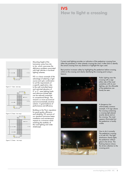# **IVS How to light a crossing**



Figure 3. 1 lane - one way



Figure 4. 2 lanes - two ways



Figure 5. 3 lanes - two ways

Mounting height of the luminaires varies from 4m to 6m, which overcomes the deficiency problems associated with high vehicles in low-level lighting schemes.

IVS is a classic example of the advantage of selecting a light source and optic combination to suit the requirements of a specific application; due to the well controlled beam and restricted elevation of 0° or 5°, area lighting loads and obtrusive (waste) light can be reduced compared to conventional fittings. The reward is a more economical and environmentally sensitive solution. A great balance of performance and efficiency.

Building on the Thorn reputation for good quality, efficiency and reliability, IVS versions of our standard luminaires keeps installation and maintenance impacts to a minimum whilst matching the aesthetic of the road lighting and wider streetscape.

Current road lighting provides no indication of the pedestrian crossing from either the pavement or when already crossing the road. It often fails to identify the actual crossing from any distance or highlight the signs used.

Best practice increases safety by highlighting the pedestrian before crossing, whilst on the crossing and clearly identifying the crossing point using a beacon.



Public lighting near the crossing with a sign either side of the road sometimes with its own lighting, yet, the silhouette of the pedestrian can barely be seen.





A dangerous but unfortunately common example. A lit sign above the crossing containing a crossing light placed exactly above and on the crossing. The road appears illuminated but the pedestrian is hardly visible.

How to do it correctly. The pedestrian crossing is lit with IVS. The light distribution clearly lights the pedestrian without glare to the driver. The flashing beacon draws the drivers attention to the crossing point.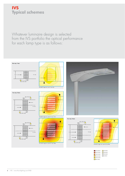# **IVS Typical schemes**

Whatever luminaire design is selected from the IVS portfolio the optical performance for each lamp type is as follows:



140,0-160,0 20,0-40,0

120,0-140,0 0,0-20,0 100,0-120,0 80,0-100,0

|  | 6   IVS   www.thornlighting.com/IVS0 |  |
|--|--------------------------------------|--|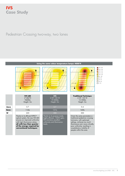# **IVS Case Study**

# Pedestrian Crossing two-way, two lanes



**IVS LED** 2\*48L70 9400lm

# **Using the same colour temperature lamps: 4000°K**





#### $180 - 200$  $160 \cdot 180$  $140 \cdot 160$  $120 \cdot 140$  $100 \cdot 120$  $80 - 100$  $60 - 80$  $40 - 60$  $20 \cdot 40$  $\Box$  0  $\cdot$  20

Height: 5m **Uave** 0.7 0.7 0.4 **Eave** 116lx 121lx 160lx **W** | 220 220 300 300 300 Thanks to its efficient R-PEC® optical system, the new IVS LED ensures an improved uniformity with high illuminance values, **all with less than quarter of the energy required by** 

**conventional techniques**

| 2 HIT 150 W<br>19000m<br>Height: 5m |  |
|-------------------------------------|--|
| 0 <sub>7</sub>                      |  |
| $12$ Tx                             |  |
|                                     |  |

 $\mathbf{I} \mathbf{V} \mathbf{S}$ 

Thanks to its purpose made, highly efficient, 150W optic, IVS maintains excellent uniformity and illuminance levels.

| 2 HIT 150 W<br>12 500lm<br>Height: 5m                                                                                                                         |
|---------------------------------------------------------------------------------------------------------------------------------------------------------------|
| 0.4                                                                                                                                                           |
| 160 <sub>k</sub>                                                                                                                                              |
| 300                                                                                                                                                           |
| Given the same parameters a<br>traditional pedestrian crossing<br>luminaire, with optimised<br>settings, achieves too much<br>illuminance and more critically |

**Traditional Technique**

illuminance and, more critically, poor uniformity, resulting in unsatisfactory visibility of people within the area.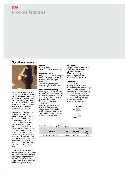## **Signalling accessory**



Using the latest advances in LED technology, the IVS system aims to complement road signal legislation by offering highway authorities an additional safety feature: a rapid flashing indicator accessory to further warn road users to yield sooner when approaching the crossing.

Mounted on the lighting column, separate from the luminaire for better visibility yet beyond the reach of vandals, the knuckle shaped unit consists of two circulars amber LEDs aligned horizontally, one on each side. The lights flash at a predetermined rate to achieve optimum driver recognition and operate separately from the lantern, being visible during the day as well as nighttime hours. A further benefit is to attract and encourage pedestrians to cross the road inside the identified zone, where they are more visible.

Together with the selection of lanterns and columns this creates not only the complete pedestrian crossing lighting package from a single, dedicated source of supply, but also an authoritative body of design advice, too.

**Lamps** Flashing Node: 6 X 1W LEDs (3 each side)

## **Materials/Finish**

Body : ABS, finished in ligth grey (RAL 9006) or powder coated texturized, texturized grey (Akzo 900) . diffuser : toughened glass Screw fixings : stainless steel

#### **Installation/Mounting**

Mounting at 1120mm from the top of a conical Ø60 column or Ø76mm cylindrical column with a Ø22mm go through hole (as per Thorn IVS column) Cable gland for Ø8mm to 13mm cable. Screw fixings: stainless steel Delivered ready to install, complete with factory fitted integral gear prewired with 5m of HO7RNF 2x1 mm² cable all supplied in a single carton.

#### **Standards**

Designed and manufactured to comply with EN 60598-2-3 □ Class II electrical  $\frac{1}{\sqrt{2}}$  25° (-20°/+35°) **IP66:** Ingress protection IK10: Shock resistance CE

#### **Specification**

To specify state: Warning LED flashing node dedicated to pedestrian crossings. IP66 and made of vandal resistant material to be installed on the section of the column. To be installed together with Thorn pedestrian crossings luminaire and column packages. As Thorn IVS flash node.



#### **Signalling accessory Ordering guide**

|                            |          | Finish                    |               |
|----------------------------|----------|---------------------------|---------------|
| <b>Description</b>         | Gear     | <b>Texturised</b><br>Grey | Light<br>Grey |
| IVS FLASH NODE 6W 2 X 3LED | Integral | 96256654                  | 96256655      |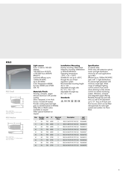## **R2L2**



R2L2 Small



10.6 (with gear) 8.6 (without gear)<br>Max. Scx: 0.05m<sup>2</sup>

R2L2 Medium



14.2 (with gear) 11.1 (without gear)<br>Max. Scx: 0.06m<sup>2</sup>

#### **Light source**

From 12 LED to 180 LED Lifetime: 100 000 hours B10L70 >100 000 hours B50L90 @Ta25°C Luminaire efficacy up to 120Llm/W R-PEC Up to 40 000lm Color Temperature 4000K but also 3000K and 5700K CRI: 70

#### **Materials/Finish**

Housing, canopies, spigot: die-cast aluminium with powder coating Glass: tempered, 4 mm thick Screws: EcolubricR treated Powder coating texturized light grey as standard (close to R9006) Other RAL or AKZO colors available on request Other special treatment on request

#### **Installation/Mounting**

Post-top mounting: Ø60-76mm Side-entry mounting: Ø48-60mm or Ø34-42-48-60mm Operating temperature:  $-25^{\circ}$ C < Ta <  $+35^{\circ}$ C Suitable for use up to +50°C through the use of heat regulation system Recommended mounting height: 4m to 14m Adjustable tilt angle side:  $0^{\circ}/.5^{\circ}/.10^{\circ}/.15^{\circ}$ Adjustable tilt angle top: 0°/ +5°/ +10

#### **Standards**

 $_{60598}$  IK08 IP66  $\bigoplus$   $\Box$  CE

#### **Specification**

To specify state: Three sizes with extensive optical, lumen and light distribution choice for all road applications up to ME1. Efficient (up to 100Llm/W) R-PEC

optic with 11 light distributions for precise light placement with minimum waste light. Wide range of intelligent lighting control solutions from standalone dimming to fully remote control via central monitoring system. Attractive, universal and integrated spigot offering flexibility through top and side entry as well as tilt adjustment up to 15°. Easy to fit back and front louvres which can be fitted retrospectively for extra light control and comfort. As Thorn R2L2

| <b>Size</b><br><b>Electrical</b><br><b>Number</b><br>ĸ<br><b>Description</b><br><b>SAP</b><br>mA<br>of LEDs<br>Class<br>Code<br>S<br>$\overline{2}$<br>700<br>4000<br>36<br>R2L2 S 36L70 IVS 740 CL2<br>96268486<br>S<br>$\overline{2}$<br>48<br>4000<br>R2L2 S 48L70 IVS 740 CL2<br>96268515<br>700<br>$\overline{2}$<br>M<br>60<br>R2L2 M 60L70 IVS 740 CL2<br>700<br>4000<br>96268314<br>$\overline{2}$<br>96268343<br>700<br>4000<br>R2L2 M 72L70 IVS 740 CL2<br>M<br>72<br>$\overline{2}$<br>M<br>84<br>700<br>4000<br>R2L2 M 84L70 IVS 740 CL2<br>96268367<br>$\overline{2}$<br>96<br>4000<br>R2L2 M 96L70 IVS 740 CL2<br>96266752<br>M<br>700 |    |   |
|------------------------------------------------------------------------------------------------------------------------------------------------------------------------------------------------------------------------------------------------------------------------------------------------------------------------------------------------------------------------------------------------------------------------------------------------------------------------------------------------------------------------------------------------------------------------------------------------------------------------------------------------------|----|---|
|                                                                                                                                                                                                                                                                                                                                                                                                                                                                                                                                                                                                                                                      |    |   |
|                                                                                                                                                                                                                                                                                                                                                                                                                                                                                                                                                                                                                                                      |    |   |
|                                                                                                                                                                                                                                                                                                                                                                                                                                                                                                                                                                                                                                                      |    |   |
|                                                                                                                                                                                                                                                                                                                                                                                                                                                                                                                                                                                                                                                      |    |   |
|                                                                                                                                                                                                                                                                                                                                                                                                                                                                                                                                                                                                                                                      |    |   |
|                                                                                                                                                                                                                                                                                                                                                                                                                                                                                                                                                                                                                                                      |    |   |
|                                                                                                                                                                                                                                                                                                                                                                                                                                                                                                                                                                                                                                                      |    |   |
| $\overline{2}$<br>5700<br>R2L2 M 60L70 IVS 757 CL2<br>700<br>96268315                                                                                                                                                                                                                                                                                                                                                                                                                                                                                                                                                                                | 60 | M |
| $\overline{2}$<br>5700<br>R2L2 M 72L70 IVS 757 CL2<br>96268344<br>72<br>700<br>M                                                                                                                                                                                                                                                                                                                                                                                                                                                                                                                                                                     |    |   |
| $\mathcal{P}$<br>84<br>5700<br>M<br>700<br>R2L2 M 84L70 IVS 757 CL2<br>96268368                                                                                                                                                                                                                                                                                                                                                                                                                                                                                                                                                                      |    |   |
| $\overline{2}$<br>5700<br>R2L2 M 96L70 IVS 757 CL2<br>96268390<br>96<br>700<br>M                                                                                                                                                                                                                                                                                                                                                                                                                                                                                                                                                                     |    |   |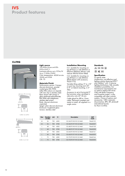# **CiviTEQ**





CiviTEQ S - Scx: 0,077m2



CiviTEQ L - Scx: 0,115m2

#### **Light source**

100.000hrs Drivers and LEDs (L90) at Ta25°C Luminaire efficacy up to 127Llm/W Up to 17 000lm (156W) Color temperature: 4000K but also 3000K and 5700K CRI: 70

#### **Materials/Finish**

Performance version: Canopy: die-cast aluminium, powder coated grey RAL 9006 (other RAL colours on request) with rear clip in stainless steel. Basic version with canopy in glass reinforced polycarbonate, RAL 9006 with antigalvanic stainless steel screws Body: die-cast aluminium unpainted Spigot: plain die-cast aluminium Enclosure: toughened glass Screws: stainless steel

#### **Installation/Mounting**

CL1: Suitable for mounting on top Ø76mm or side Ø60mm or Ø42mm (Ø60mm delivery with reducer MA34/42mm fitted)

CL2: Suitable for mounting on top Ø76mm or side Ø60mm (Ø34/42mm with accessory 96261772)

Variable tilting setting: 0° to +10° on post top mounting and -20° to 0° on lateral mounting, in 5° steps.

Accessory to set at horizontal 0° the luminaire when retrofitted in side entry onto 45° tilt arm

Cable gland for Ø8 to 12mm cable. Delivered complete and ready to install, all supplied in a single carton

# **Standards**

#### **Specification**

To specify state: Unobtrusive, cost effective road lighting solution featuring R-PEC® and Optibloc® with 12 precise lighting distributions, fully versatile installation possibilities, low maintenance requirements and no need to replace LED driver. CMS with Radio Frequency and Powerline system, is also compatible with other controls systems. Choice of options and accessories: 10KV, automatic disconnection, BPS, LRT, photocell and external louvres. As Thorn CiviTEQ.

| <b>Size</b> | <b>Number</b><br>of LEDs | mA  | K    | <b>Description</b>       | <b>SAP</b><br>Code |
|-------------|--------------------------|-----|------|--------------------------|--------------------|
| M           | 36                       | 700 | 4000 | CQ 36170-740 IVS CL2 M60 | 96643155           |
| M           | 36                       | 700 | 5700 | CQ 36170-757 IVS CL2 M60 | 96643227           |
|             | 48                       | 700 | 4000 | CQ 48170-740 IVS C12 M60 | 96643158           |
|             | 48                       | 700 | 5700 | CQ 48170-757 IVS C12 M60 | 96643228           |
|             | 60                       | 700 | 4000 | CQ 60170-740 IVS C12 M60 | 96643161           |
|             | 60                       | 700 | 5700 | CQ 60170-757 IVS C12 M60 | 96643229           |
|             | 72                       | 700 | 4000 | CQ 72170-740 IVS C12 M60 | 96643164           |
|             | 72                       | 700 | 5700 | CQ 72170-757 IVS C12 M60 | 96643230           |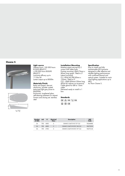## **Oxane S**





Scx: 0.065m2 Max. 17Kg

#### **Light source**

Lifetime hours: 100 000 hours B10L90 @Ta25°C >100 000 hours B50L90 @Ta25°C Luminaire efficacy up to 111Llm/W Lumen output up to 8000lm

#### **Materials/Finish**

Body and Spigot: die-cast aluminium, powder coated texturized light grey (close to RAL9006) Enclosures: toughened glass,

self-cleaning treatment on request Screws and closing set: stainless steel

## **Installation/Mounting**

Rotating spigot secured by 2 screws with safety bolts Post-top mounting: Ø60/76mm x 80mm long spigot. Tilted to 5° Lateral mounting: CL1- Ø34/42/48/60mm x 120mm. Tilted to 0° CL2 – Ø48/60mmx120mm long (Ø34/42 reducer as accessory) Cable gland for Ø8 to 13mm cable. Delivered ready to install in 1 box.

## **Standards**

|     | EN<br>60598 | <b>IK08</b> | $I_{a-25}$ | <b>IP66</b> |
|-----|-------------|-------------|------------|-------------|
| י⊥′ |             |             |            |             |

# **Specification**

Easy to install and fully maintainable LED luminaire designed to offer effective and reliable lighting performances with combined thermal and optical system. Suitable for main road lighting applications up to ME3.

As Thorn Oxane S.

| <b>Number</b><br>of LEDs | mA   |      | Electrical<br>Class | <b>Description</b>            | <b>SAP</b><br>Code |
|--------------------------|------|------|---------------------|-------------------------------|--------------------|
| 36                       | 700  | 4000 |                     | OXANE S 36170 IVS 757 CL2     | 96268486           |
| 36                       | 700  | 4000 | $\mathcal{P}$       | OXANE S 36170 IVS EFL 740 CL2 | 96272233           |
| 36                       | 700. | 5700 |                     | OXANE S 36170 IVS EFL 757 CL2 | 96272143           |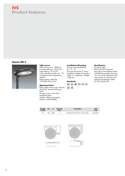# **Dyana LED 2**



#### **Light source**

Total luminous flux: 10884 lm Luminaire efficacy: 102 lm/W Lamp efficacy: 93 lm/W Colour Rendering Index min.: 70 Correlated colour temperature: 4000 K Rated median useful life: 100 000h L90 at 25°C

# **Materials/Finish**

Body, spigot and canopy: die-cast aluminium, textured dark grey finish. Flat glass cover: 5mm thick toughened glass. Gaskets: Ethylene Propylene Diamine rubber (EPDM)

# **Installation/Mounting**

Post-top mounting Ø60mm, tilt =  $5^\circ$ , 10°. End cap secured by 2 screws. Supplied complete and ready to install, in a single box. Weight: 12kg max.

# **Standards**



# **Specification**

To specify state: IP66 and IK09 aluminium decorative street lighting lantern with Ø60mm post-top mounting, 10° tilt and IVS dedicated optic. With options for dimming and lighting management system. As Thorn Dyana LED.





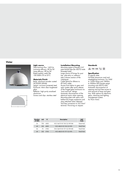#### **Victor**





#### **Light source**

Total luminous flux: 1423 lm Luminaire efficacy: 89 lm/W Lamp efficacy: 89 lm/W Rated median useful life: 100 000h L70 at 25°C

#### **Materials/Finish**

Body: aluminum powder coated NCS0500 (White) Spigot: corrosion protected steel Enclosure: 4mm clear toughened

glass Reflector: high purity anodized aluminium

Screws and clips: stainless steel

# **Installation/Mounting**

Mounting spigot of female 3/4" pipe thread type (for Ø27G male threaded tube). Large choice of fixings for post

top, side entry or catenary (see Columns section of the catalogue). Cable gland for Ø6mm to

Ø13mm cable. Access from below to gear and

optic system after quick release of the hinged glass enclosure via 'twist and lock' design. Automatic disconnection of the electrical mains when opening. Mounting plate with optics and ballast has hinge suspension and

stays attached when released. Tool free connection to 2x2.5mm² terminal. Pre-wiring on request.

## **Standards**



# **Specification**

To specify state: Full IP66 aluminium road and streetlighting luminaire. For 24W to 150W lamps and 1800Lm to 3000Lm LED.Female spigot mounting onto Ø27G tube. Automatic disconnection at opening and tool free access to and removal of lamp and gear tray. With options for electronic gears, dimming and lighting management system. As Thorn Victor.

| <b>Number</b><br>of LEDs | mA   | K    | <b>Description</b>            | <b>SAP</b><br>Code |
|--------------------------|------|------|-------------------------------|--------------------|
| 36                       | 700  | 4000 | VIC2 36170 IVS 740 CL2 HFX 8M | 96627563           |
| 48                       | 350  | 4000 | VIC2 48135 IVS 740 CL2 HFX    | 96627564           |
| 36                       | 70   | 5700 | VIC2 36170 IVS 757 C12 HFX 8M | 96627604           |
| 48                       | 3.50 | 5700 | VIC2 48135 IVS 757 CL2 HFX    | 96627605           |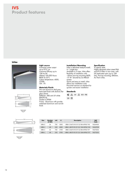## **Urba**





 $\sqrt{3}$ 

#### **Light source**

Luminaire Lumen output up to 9731 Lm Luminaire Efficacy up to 108 lm/W Lifetime 100,000 Hours @L90 Ta 25°C Colour temperature: 4000, 5700K CRI : 70

#### **Materials/Finish**

Die cast aluminium dark grey, texturized finish with dichroic flat glass (5mm) Deflector: ABS anti UV white (RAL9016) Gasket in EPDM Frame : Aluminium with powder metalized aluminium and varnish finish

#### **Installation/Mounting**

Urba is delivered ready-to-install, in 1 single box Available in 2 sizes, Urba offers flexibility of installation with: - 60mm post top mounting (MTP) - 0° tilt - secured by 2x M8x25 screws Quick and easy to install, Urba allows low installation costs Pre-wired versions as standard for quicker and easier installation

#### **Standards**



# **Specification**

To specify state: Highly designed urban street IP66 and IK10 latern in two sizes, with IVS dedicated optic (up to 108 Llm). Post top mounting, Ø60mm. As Thorn Urba.



|              | of LEDs |     |      |                                       | Code     |
|--------------|---------|-----|------|---------------------------------------|----------|
| URBA S       | 36      | 700 | 4000 | URBA S 36L70 IVS GY CL2 8M MTP60 740  | 96269606 |
| <b>URBAL</b> | 48      | 350 | 4000 | URBA L 48170 IVS GY CL2 10M MTP60 740 | 96269928 |
| URBA S       | 36      | 700 | 5700 | URBA S 36170 IVS GY CL2 8M MTP60 757  | 96272234 |
| <b>URBAL</b> | 48      | 350 | 5700 | URBA L 48170 IVS GY CL2 10M MTP60 757 | 96272235 |

**Size Number mA K Description SAP** 

 $\sqrt{2}$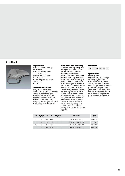# **Areaflood**



#### **Light source**

Luminaire lumen output up to 19500lm Luminaire efficacy up to 121 Llm/W Lifetime 100 000 hours L90 @Ta25°C Colour temperature: 4000K and 5700K CRI: 70

## **Materials and Finish**

Body: die-cast aluminium (AS12U, EN AC-47100) powder coated texturised dark grey. Other RAL colours or special treatment available on request Gasket: silicon (IP66 seal) Hinges: polyamid glass fibre 20% Glass: toughened (5mm thick)

#### **Installation and Mounting**

Reversible mounting stirrup and aiming for horizontal position is simplified via 2 indicators depending on the stirrup mounting position. Cable gland for Ø8-12mm. Drop front glass access with 2 screws (size 1) or 4 screws (size 2). Direct access to LED drivers (size 1) or access via 1 screw on LED support plate (size 2). Delivered with stirrup. Choice of spigot adaptor for post top mounting the stirrup onto a column (Ø60 or 76mm). Fixes to column with 2xM10 bolts and nuts (supplied). Stirrup fixed by 2 bolts and washers (supplied). Choice of decorative bracket arm for mounting stirrup onto column (size 1 only, Ø60 or 76mm). Fixes via 4xM8 bolts (not supplied).

## **Standards**

 $C \in \mathbb{R}^N$  IP66 IK08  $\textcircled{=}$   $\Box$ 

#### **Specification**

To specify state: High efficiency LED floodlight providing asymmetrical distributions with 60° peak intensity. Excellent control of obtrusive light thanks to inclined glass inside integrated visor (0 cd at 90°). Full IP66 / IK08 and easy maintenance of LED driver thanks to hinged front glass. As Thorn Areaflood LED.

| <b>Size</b>   | Number<br>of LEDs | mA  | ĸ    | Electrical<br>Class | <b>Description</b>       | <b>SAP</b><br>Code |
|---------------|-------------------|-----|------|---------------------|--------------------------|--------------------|
|               | 36                | 700 | 4000 | 2                   | AREA 1 36170 IVS 740 CL2 | 96272219           |
|               | 36                | 700 | 5700 | $\mathcal{P}$       | AREA 1 36170 IVS 757 CL2 | 96272223           |
| 2             | 84                | 700 | 4000 | 2                   | AREA2 84170 IVS 740 CL2  | 96272222           |
| $\mathcal{P}$ | 84                | 700 | 5700 | $\mathcal{P}$       | AREA2 84170 IVS 757 CL2  | 96272226           |